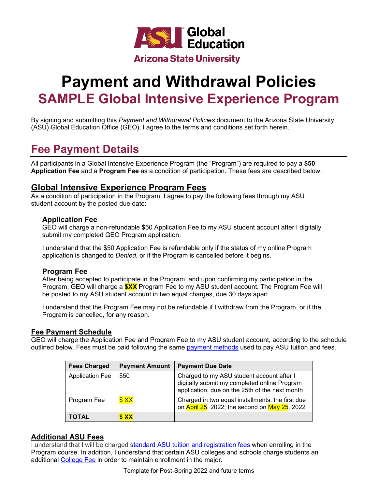

# **Payment and Withdrawal Policies SAMPLE Global Intensive Experience Program**

By signing and submitting this *Payment and Withdrawal Policies* document to the Arizona State University (ASU) Global Education Office (GEO), I agree to the terms and conditions set forth herein.

# **Fee Payment Details**

All participants in a Global Intensive Experience Program (the "Program") are required to pay a **\$50 Application Fee** and a **Program Fee** as a condition of participation. These fees are described below.

#### **Global Intensive Experience Program Fees**

As a condition of participation in the Program, I agree to pay the following fees through my ASU student account by the posted due date:

#### **Application Fee**

GEO will charge a non-refundable \$50 Application Fee to my ASU student account after I digitally submit my completed GEO Program application.

I understand that the \$50 Application Fee is refundable only if the status of my online Program application is changed to *Denied*, or if the Program is cancelled before it begins.

#### **Program Fee**

After being accepted to participate in the Program, and upon confirming my participation in the Program, GEO will charge a **\$XX** Program Fee to my ASU student account. The Program Fee will be posted to my ASU student account in two equal charges, due 30 days apart.

I understand that the Program Fee may not be refundable if I withdraw from the Program, or if the Program is cancelled, for any reason.

#### **Fee Payment Schedule**

GEO will charge the Application Fee and Program Fee to my ASU student account, according to the schedule outlined below. Fees must be paid following the same [payment methods](https://students.asu.edu/paymentoptions) used to pay ASU tuition and fees.

| <b>Fees Charged</b>    | <b>Payment Amount</b> | <b>Payment Due Date</b>                                                                                                                     |
|------------------------|-----------------------|---------------------------------------------------------------------------------------------------------------------------------------------|
| <b>Application Fee</b> | \$50                  | Charged to my ASU student account after I<br>digitally submit my completed online Program<br>application; due on the 25th of the next month |
| Program Fee            | \$XX                  | Charged in two equal installments: the first due<br>on April 25, 2022; the second on May 25, 2022                                           |
| <b>TOTAL</b>           | \$XX                  |                                                                                                                                             |

#### **Additional ASU Fees**

I understand that I will be charged [standard ASU tuition and registration fees](https://catalog.asu.edu/tuitionandfees/) when enrolling in the Program course. In addition, I understand that certain ASU colleges and schools charge students an additional [College Fee](https://students.asu.edu/tuition-descriptions) in order to maintain enrollment in the major.

Template for Post-Spring 2022 and future terms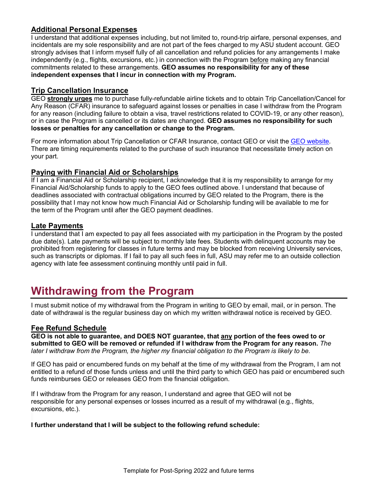#### **Additional Personal Expenses**

I understand that additional expenses including, but not limited to, round-trip airfare, personal expenses, and incidentals are my sole responsibility and are not part of the fees charged to my ASU student account. GEO strongly advises that I inform myself fully of all cancellation and refund policies for any arrangements I make independently (e.g., flights, excursions, etc.) in connection with the Program before making any financial commitments related to these arrangements. **GEO assumes no responsibility for any of these independent expenses that I incur in connection with my Program.**

#### **Trip Cancellation Insurance**

GEO **strongly urges** me to purchase fully-refundable airline tickets and to obtain Trip Cancellation/Cancel for Any Reason (CFAR) insurance to safeguard against losses or penalties in case I withdraw from the Program for any reason (including failure to obtain a visa, travel restrictions related to COVID-19, or any other reason), or in case the Program is cancelled or its dates are changed. **GEO assumes no responsibility for such losses or penalties for any cancellation or change to the Program.**

For more information about Trip Cancellation or CFAR Insurance, contact GEO or visit the [GEO website.](https://goglobal.asu.edu/content/trip-cancellation-insurance) There are timing requirements related to the purchase of such insurance that necessitate timely action on your part.

#### **Paying with Financial Aid or Scholarships**

If I am a Financial Aid or Scholarship recipient, I acknowledge that it is my responsibility to arrange for my Financial Aid/Scholarship funds to apply to the GEO fees outlined above. I understand that because of deadlines associated with contractual obligations incurred by GEO related to the Program, there is the possibility that I may not know how much Financial Aid or Scholarship funding will be available to me for the term of the Program until after the GEO payment deadlines.

#### **Late Payments**

I understand that I am expected to pay all fees associated with my participation in the Program by the posted due date(s). Late payments will be subject to monthly late fees. Students with delinquent accounts may be prohibited from registering for classes in future terms and may be blocked from receiving University services, such as transcripts or diplomas. If I fail to pay all such fees in full, ASU may refer me to an outside collection agency with late fee assessment continuing monthly until paid in full.

# **Withdrawing from the Program**

I must submit notice of my withdrawal from the Program in writing to GEO by email, mail, or in person. The date of withdrawal is the regular business day on which my written withdrawal notice is received by GEO.

#### **Fee Refund Schedule**

**GEO is not able to guarantee, and DOES NOT guarantee, that any portion of the fees owed to or submitted to GEO will be removed or refunded if I withdraw from the Program for any reason.** *The later I withdraw from the Program, the higher my financial obligation to the Program is likely to be.*

If GEO has paid or encumbered funds on my behalf at the time of my withdrawal from the Program, I am not entitled to a refund of those funds unless and until the third party to which GEO has paid or encumbered such funds reimburses GEO or releases GEO from the financial obligation.

If I withdraw from the Program for any reason, I understand and agree that GEO will not be responsible for any personal expenses or losses incurred as a result of my withdrawal (e.g., flights, excursions, etc.).

#### **I further understand that I will be subject to the following refund schedule:**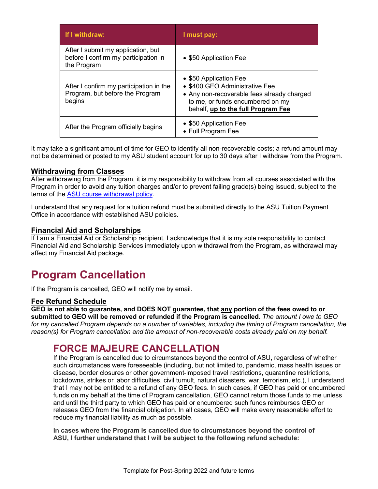| If I withdraw:                                                                            | I must pay:                                                                                                                                                                      |
|-------------------------------------------------------------------------------------------|----------------------------------------------------------------------------------------------------------------------------------------------------------------------------------|
| After I submit my application, but<br>before I confirm my participation in<br>the Program | • \$50 Application Fee                                                                                                                                                           |
| After I confirm my participation in the<br>Program, but before the Program<br>begins      | • \$50 Application Fee<br>• \$400 GEO Administrative Fee<br>• Any non-recoverable fees already charged<br>to me, or funds encumbered on my<br>behalf, up to the full Program Fee |
| After the Program officially begins                                                       | • \$50 Application Fee<br>• Full Program Fee                                                                                                                                     |

It may take a significant amount of time for GEO to identify all non-recoverable costs; a refund amount may not be determined or posted to my ASU student account for up to 30 days after I withdraw from the Program.

#### **Withdrawing from Classes**

After withdrawing from the Program, it is my responsibility to withdraw from all courses associated with the Program in order to avoid any tuition charges and/or to prevent failing grade(s) being issued, subject to the terms of the [ASU course withdrawal policy.](http://www.asu.edu/aad/manuals/ssm/ssm201-08.html)

I understand that any request for a tuition refund must be submitted directly to the ASU Tuition Payment Office in accordance with established ASU policies.

#### **Financial Aid and Scholarships**

If I am a Financial Aid or Scholarship recipient, I acknowledge that it is my sole responsibility to contact Financial Aid and Scholarship Services immediately upon withdrawal from the Program, as withdrawal may affect my Financial Aid package.

### **Program Cancellation**

If the Program is cancelled, GEO will notify me by email.

#### **Fee Refund Schedule**

**GEO is not able to guarantee, and DOES NOT guarantee, that any portion of the fees owed to or submitted to GEO will be removed or refunded if the Program is cancelled.** *The amount I owe to GEO for my cancelled Program depends on a number of variables, including the timing of Program cancellation, the reason(s) for Program cancellation and the amount of non-recoverable costs already paid on my behalf.*

### **FORCE MAJEURE CANCELLATION**

If the Program is cancelled due to circumstances beyond the control of ASU, regardless of whether such circumstances were foreseeable (including, but not limited to, pandemic, mass health issues or disease, border closures or other government-imposed travel restrictions, quarantine restrictions, lockdowns, strikes or labor difficulties, civil tumult, natural disasters, war, terrorism, etc.), I understand that I may not be entitled to a refund of any GEO fees. In such cases, if GEO has paid or encumbered funds on my behalf at the time of Program cancellation, GEO cannot return those funds to me unless and until the third party to which GEO has paid or encumbered such funds reimburses GEO or releases GEO from the financial obligation. In all cases, GEO will make every reasonable effort to reduce my financial liability as much as possible.

**In cases where the Program is cancelled due to circumstances beyond the control of ASU, I further understand that I will be subject to the following refund schedule:**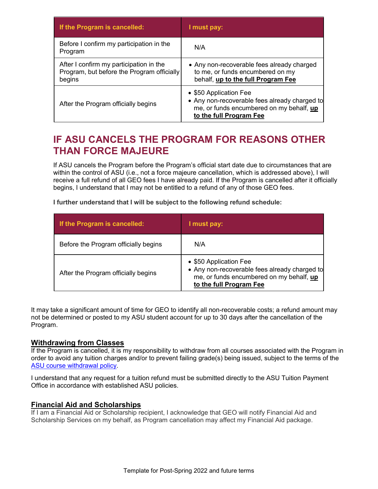| If the Program is cancelled:                                                                    | I must pay:                                                                                                                                    |
|-------------------------------------------------------------------------------------------------|------------------------------------------------------------------------------------------------------------------------------------------------|
| Before I confirm my participation in the<br>Program                                             | N/A                                                                                                                                            |
| After I confirm my participation in the<br>Program, but before the Program officially<br>begins | • Any non-recoverable fees already charged<br>to me, or funds encumbered on my<br>behalf, up to the full Program Fee                           |
| After the Program officially begins                                                             | • \$50 Application Fee<br>• Any non-recoverable fees already charged to<br>me, or funds encumbered on my behalf, up<br>to the full Program Fee |

### **IF ASU CANCELS THE PROGRAM FOR REASONS OTHER THAN FORCE MAJEURE**

If ASU cancels the Program before the Program's official start date due to circumstances that are within the control of ASU (i.e., not a force majeure cancellation, which is addressed above), I will receive a full refund of all GEO fees I have already paid. If the Program is cancelled after it officially begins, I understand that I may not be entitled to a refund of any of those GEO fees.

**I further understand that I will be subject to the following refund schedule:**

| If the Program is cancelled:         | I must pay:                                                                                                                                    |
|--------------------------------------|------------------------------------------------------------------------------------------------------------------------------------------------|
| Before the Program officially begins | N/A                                                                                                                                            |
| After the Program officially begins  | • \$50 Application Fee<br>• Any non-recoverable fees already charged to<br>me, or funds encumbered on my behalf, up<br>to the full Program Fee |

It may take a significant amount of time for GEO to identify all non-recoverable costs; a refund amount may not be determined or posted to my ASU student account for up to 30 days after the cancellation of the Program.

#### **Withdrawing from Classes**

If the Program is cancelled, it is my responsibility to withdraw from all courses associated with the Program in order to avoid any tuition charges and/or to prevent failing grade(s) being issued, subject to the terms of the [ASU course withdrawal policy.](http://www.asu.edu/aad/manuals/ssm/ssm201-08.html)

I understand that any request for a tuition refund must be submitted directly to the ASU Tuition Payment Office in accordance with established ASU policies.

#### **Financial Aid and Scholarships**

If I am a Financial Aid or Scholarship recipient, I acknowledge that GEO will notify Financial Aid and Scholarship Services on my behalf, as Program cancellation may affect my Financial Aid package.